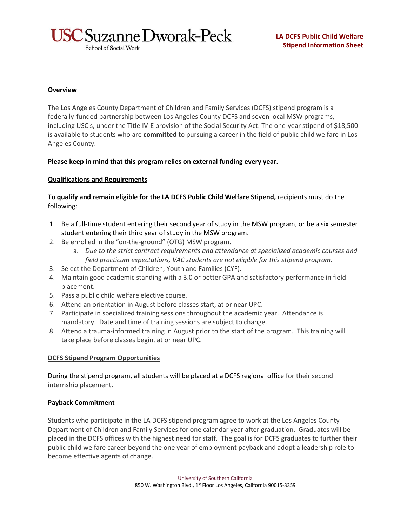

School of Social Work

### **Overview**

The Los Angeles County Department of Children and Family Services (DCFS) stipend program is a federally-funded partnership between Los Angeles County DCFS and seven local MSW programs, including USC's, under the Title IV-E provision of the Social Security Act. The one-year stipend of \$18,500 is available to students who are **committed** to pursuing a career in the field of public child welfare in Los Angeles County.

### **Please keep in mind that this program relies on external funding every year.**

# **Qualifications and Requirements**

**To qualify and remain eligible for the LA DCFS Public Child Welfare Stipend,** recipients must do the following:

- 1. Be a full-time student entering their second year of study in the MSW program, or be a six semester student entering their third year of study in the MSW program.
- 2. Be enrolled in the "on-the-ground" (OTG) MSW program.
	- a. *Due to the strict contract requirements and attendance at specialized academic courses and field practicum expectations, VAC students are not eligible for this stipend program.*
- 3. Select the Department of Children, Youth and Families (CYF).
- 4. Maintain good academic standing with a 3.0 or better GPA and satisfactory performance in field placement.
- 5. Pass a public child welfare elective course.
- 6. Attend an orientation in August before classes start, at or near UPC.
- 7. Participate in specialized training sessions throughout the academic year. Attendance is mandatory. Date and time of training sessions are subject to change.
- 8. Attend a trauma-informed training in August prior to the start of the program. This training will take place before classes begin, at or near UPC.

### **DCFS Stipend Program Opportunities**

During the stipend program, all students will be placed at a DCFS regional office for their second internship placement.

### **Payback Commitment**

Students who participate in the LA DCFS stipend program agree to work at the Los Angeles County Department of Children and Family Services for one calendar year after graduation. Graduates will be placed in the DCFS offices with the highest need for staff. The goal is for DCFS graduates to further their public child welfare career beyond the one year of employment payback and adopt a leadership role to become effective agents of change.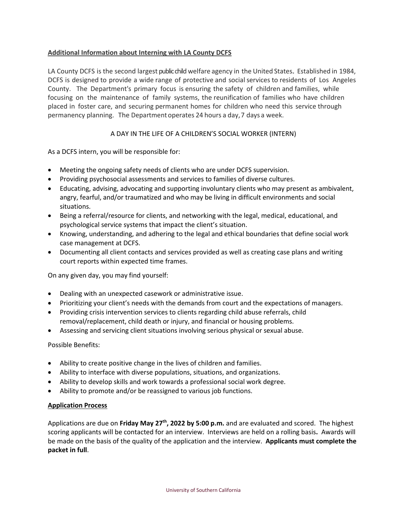# **Additional Information about Interning with LA County DCFS**

LA County DCFS is the second largest public child welfare agency in the United States. Established in 1984, DCFS is designed to provide a wide range of protective and social services to residents of Los Angeles County. The Department's primary focus is ensuring the safety of children and families, while focusing on the maintenance of family systems, the reunification of families who have children placed in foster care, and securing permanent homes for children who need this service through permanency planning. The Department operates 24 hours a day,7 days a week.

# A DAY IN THE LIFE OF A CHILDREN'S SOCIAL WORKER (INTERN)

As a DCFS intern, you will be responsible for:

- Meeting the ongoing safety needs of clients who are under DCFS supervision.
- Providing psychosocial assessments and services to families of diverse cultures.
- Educating, advising, advocating and supporting involuntary clients who may present as ambivalent, angry, fearful, and/or traumatized and who may be living in difficult environments and social situations.
- Being a referral/resource for clients, and networking with the legal, medical, educational, and psychological service systems that impact the client's situation.
- Knowing, understanding, and adhering to the legal and ethical boundaries that define social work case management at DCFS.
- Documenting all client contacts and services provided as well as creating case plans and writing court reports within expected time frames.

On any given day, you may find yourself:

- Dealing with an unexpected casework or administrative issue.
- Prioritizing your client's needs with the demands from court and the expectations of managers.
- Providing crisis intervention services to clients regarding child abuse referrals, child removal/replacement, child death or injury, and financial or housing problems.
- Assessing and servicing client situations involving serious physical or sexual abuse.

Possible Benefits:

- Ability to create positive change in the lives of children and families.
- Ability to interface with diverse populations, situations, and organizations.
- Ability to develop skills and work towards a professional social work degree.
- Ability to promote and/or be reassigned to various job functions.

### **Application Process**

Applications are due on **Friday May 27th, 2022 by 5:00 p.m.** and are evaluated and scored. The highest scoring applicants will be contacted for an interview. Interviews are held on a rolling basis**.** Awards will be made on the basis of the quality of the application and the interview. **Applicants must complete the packet in full**.